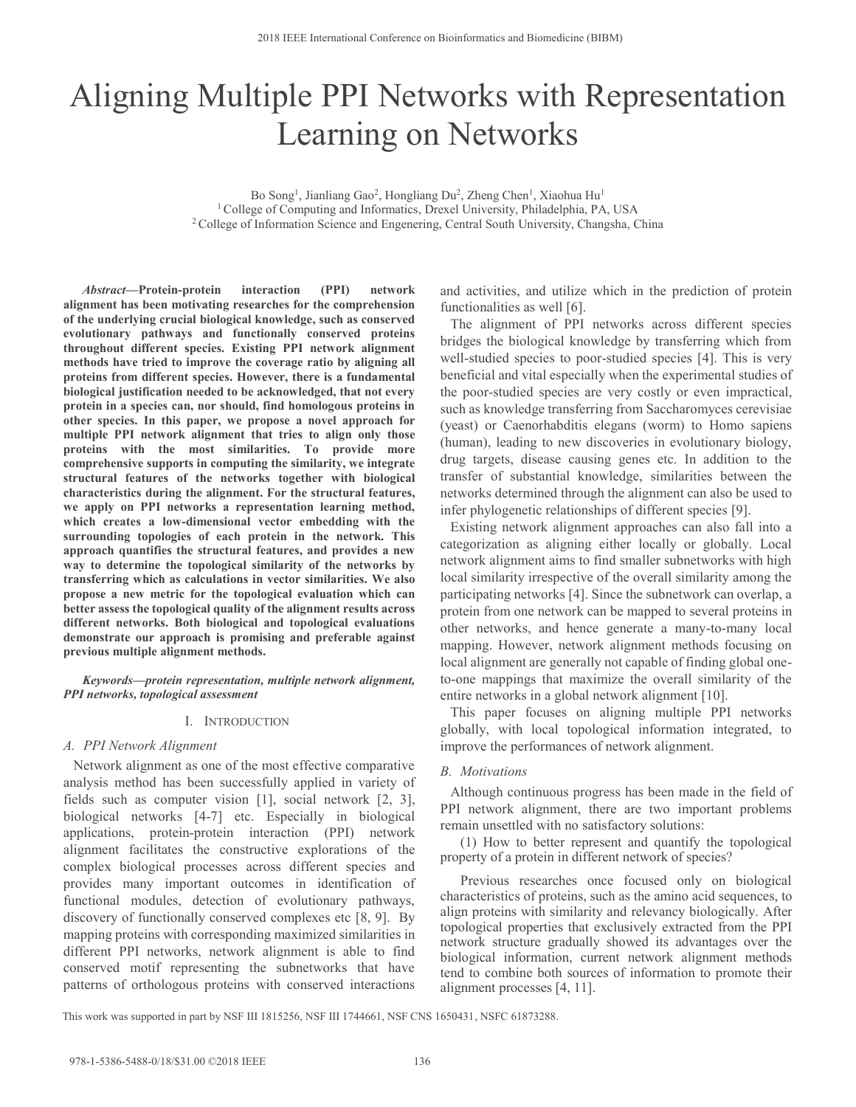# Aligning Multiple PPI Networks with Representation Learning on Networks

Bo Song<sup>1</sup>, Jianliang Gao<sup>2</sup>, Hongliang Du<sup>2</sup>, Zheng Chen<sup>1</sup>, Xiaohua Hu<sup>1</sup> <sup>1</sup> College of Computing and Informatics, Drexel University, Philadelphia, PA, USA <sup>2</sup> College of Information Science and Engenering, Central South University, Changsha, China

*Abstract***—Protein-protein interaction (PPI) network alignment has been motivating researches for the comprehension of the underlying crucial biological knowledge, such as conserved evolutionary pathways and functionally conserved proteins throughout different species. Existing PPI network alignment methods have tried to improve the coverage ratio by aligning all proteins from different species. However, there is a fundamental biological justification needed to be acknowledged, that not every protein in a species can, nor should, find homologous proteins in other species. In this paper, we propose a novel approach for multiple PPI network alignment that tries to align only those proteins with the most similarities. To provide more comprehensive supports in computing the similarity, we integrate structural features of the networks together with biological characteristics during the alignment. For the structural features, we apply on PPI networks a representation learning method, which creates a low-dimensional vector embedding with the surrounding topologies of each protein in the network. This approach quantifies the structural features, and provides a new way to determine the topological similarity of the networks by transferring which as calculations in vector similarities. We also propose a new metric for the topological evaluation which can better assess the topological quality of the alignment results across different networks. Both biological and topological evaluations demonstrate our approach is promising and preferable against previous multiple alignment methods.** 

*Keywords—protein representation, multiple network alignment, PPI networks, topological assessment* 

#### I. INTRODUCTION

#### *A. PPI Network Alignment*

Network alignment as one of the most effective comparative analysis method has been successfully applied in variety of fields such as computer vision [1], social network [2, 3], biological networks [4-7] etc. Especially in biological applications, protein-protein interaction (PPI) network alignment facilitates the constructive explorations of the complex biological processes across different species and provides many important outcomes in identification of functional modules, detection of evolutionary pathways, discovery of functionally conserved complexes etc [8, 9]. By mapping proteins with corresponding maximized similarities in different PPI networks, network alignment is able to find conserved motif representing the subnetworks that have patterns of orthologous proteins with conserved interactions

and activities, and utilize which in the prediction of protein functionalities as well [6].

The alignment of PPI networks across different species bridges the biological knowledge by transferring which from well-studied species to poor-studied species [4]. This is very beneficial and vital especially when the experimental studies of the poor-studied species are very costly or even impractical, such as knowledge transferring from Saccharomyces cerevisiae (yeast) or Caenorhabditis elegans (worm) to Homo sapiens (human), leading to new discoveries in evolutionary biology, drug targets, disease causing genes etc. In addition to the transfer of substantial knowledge, similarities between the networks determined through the alignment can also be used to infer phylogenetic relationships of different species [9].

Existing network alignment approaches can also fall into a categorization as aligning either locally or globally. Local network alignment aims to find smaller subnetworks with high local similarity irrespective of the overall similarity among the participating networks [4]. Since the subnetwork can overlap, a protein from one network can be mapped to several proteins in other networks, and hence generate a many-to-many local mapping. However, network alignment methods focusing on local alignment are generally not capable of finding global oneto-one mappings that maximize the overall similarity of the entire networks in a global network alignment [10].

This paper focuses on aligning multiple PPI networks globally, with local topological information integrated, to improve the performances of network alignment.

#### *B. Motivations*

Although continuous progress has been made in the field of PPI network alignment, there are two important problems remain unsettled with no satisfactory solutions:

(1) How to better represent and quantify the topological property of a protein in different network of species?

Previous researches once focused only on biological characteristics of proteins, such as the amino acid sequences, to align proteins with similarity and relevancy biologically. After topological properties that exclusively extracted from the PPI network structure gradually showed its advantages over the biological information, current network alignment methods tend to combine both sources of information to promote their alignment processes [4, 11].

This work was supported in part by NSF III 1815256, NSF III 1744661, NSF CNS 1650431, NSFC 61873288.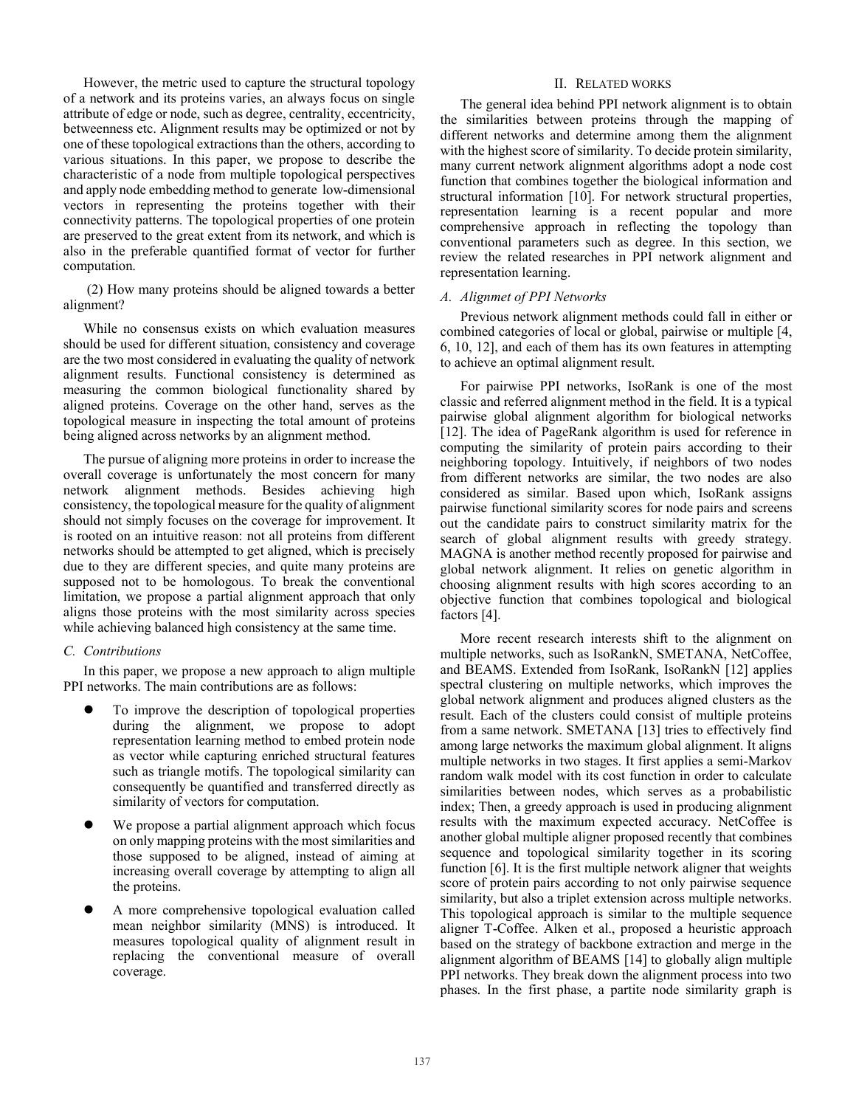However, the metric used to capture the structural topology of a network and its proteins varies, an always focus on single attribute of edge or node, such as degree, centrality, eccentricity, betweenness etc. Alignment results may be optimized or not by one of these topological extractions than the others, according to various situations. In this paper, we propose to describe the characteristic of a node from multiple topological perspectives and apply node embedding method to generate low-dimensional vectors in representing the proteins together with their connectivity patterns. The topological properties of one protein are preserved to the great extent from its network, and which is also in the preferable quantified format of vector for further computation.

(2) How many proteins should be aligned towards a better alignment?

While no consensus exists on which evaluation measures should be used for different situation, consistency and coverage are the two most considered in evaluating the quality of network alignment results. Functional consistency is determined as measuring the common biological functionality shared by aligned proteins. Coverage on the other hand, serves as the topological measure in inspecting the total amount of proteins being aligned across networks by an alignment method.

The pursue of aligning more proteins in order to increase the overall coverage is unfortunately the most concern for many network alignment methods. Besides achieving high consistency, the topological measure for the quality of alignment should not simply focuses on the coverage for improvement. It is rooted on an intuitive reason: not all proteins from different networks should be attempted to get aligned, which is precisely due to they are different species, and quite many proteins are supposed not to be homologous. To break the conventional limitation, we propose a partial alignment approach that only aligns those proteins with the most similarity across species while achieving balanced high consistency at the same time.

## *C. Contributions*

In this paper, we propose a new approach to align multiple PPI networks. The main contributions are as follows:

- To improve the description of topological properties during the alignment, we propose to adopt representation learning method to embed protein node as vector while capturing enriched structural features such as triangle motifs. The topological similarity can consequently be quantified and transferred directly as similarity of vectors for computation.
- We propose a partial alignment approach which focus on only mapping proteins with the most similarities and those supposed to be aligned, instead of aiming at increasing overall coverage by attempting to align all the proteins.
- A more comprehensive topological evaluation called mean neighbor similarity (MNS) is introduced. It measures topological quality of alignment result in replacing the conventional measure of overall coverage.

# II. RELATED WORKS

The general idea behind PPI network alignment is to obtain the similarities between proteins through the mapping of different networks and determine among them the alignment with the highest score of similarity. To decide protein similarity, many current network alignment algorithms adopt a node cost function that combines together the biological information and structural information [10]. For network structural properties, representation learning is a recent popular and more comprehensive approach in reflecting the topology than conventional parameters such as degree. In this section, we review the related researches in PPI network alignment and representation learning.

# *A. Alignmet of PPI Networks*

Previous network alignment methods could fall in either or combined categories of local or global, pairwise or multiple [4, 6, 10, 12], and each of them has its own features in attempting to achieve an optimal alignment result.

For pairwise PPI networks, IsoRank is one of the most classic and referred alignment method in the field. It is a typical pairwise global alignment algorithm for biological networks [12]. The idea of PageRank algorithm is used for reference in computing the similarity of protein pairs according to their neighboring topology. Intuitively, if neighbors of two nodes from different networks are similar, the two nodes are also considered as similar. Based upon which, IsoRank assigns pairwise functional similarity scores for node pairs and screens out the candidate pairs to construct similarity matrix for the search of global alignment results with greedy strategy. MAGNA is another method recently proposed for pairwise and global network alignment. It relies on genetic algorithm in choosing alignment results with high scores according to an objective function that combines topological and biological factors [4].

More recent research interests shift to the alignment on multiple networks, such as IsoRankN, SMETANA, NetCoffee, and BEAMS. Extended from IsoRank, IsoRankN [12] applies spectral clustering on multiple networks, which improves the global network alignment and produces aligned clusters as the result. Each of the clusters could consist of multiple proteins from a same network. SMETANA [13] tries to effectively find among large networks the maximum global alignment. It aligns multiple networks in two stages. It first applies a semi-Markov random walk model with its cost function in order to calculate similarities between nodes, which serves as a probabilistic index; Then, a greedy approach is used in producing alignment results with the maximum expected accuracy. NetCoffee is another global multiple aligner proposed recently that combines sequence and topological similarity together in its scoring function [6]. It is the first multiple network aligner that weights score of protein pairs according to not only pairwise sequence similarity, but also a triplet extension across multiple networks. This topological approach is similar to the multiple sequence aligner T-Coffee. Alken et al., proposed a heuristic approach based on the strategy of backbone extraction and merge in the alignment algorithm of BEAMS [14] to globally align multiple PPI networks. They break down the alignment process into two phases. In the first phase, a partite node similarity graph is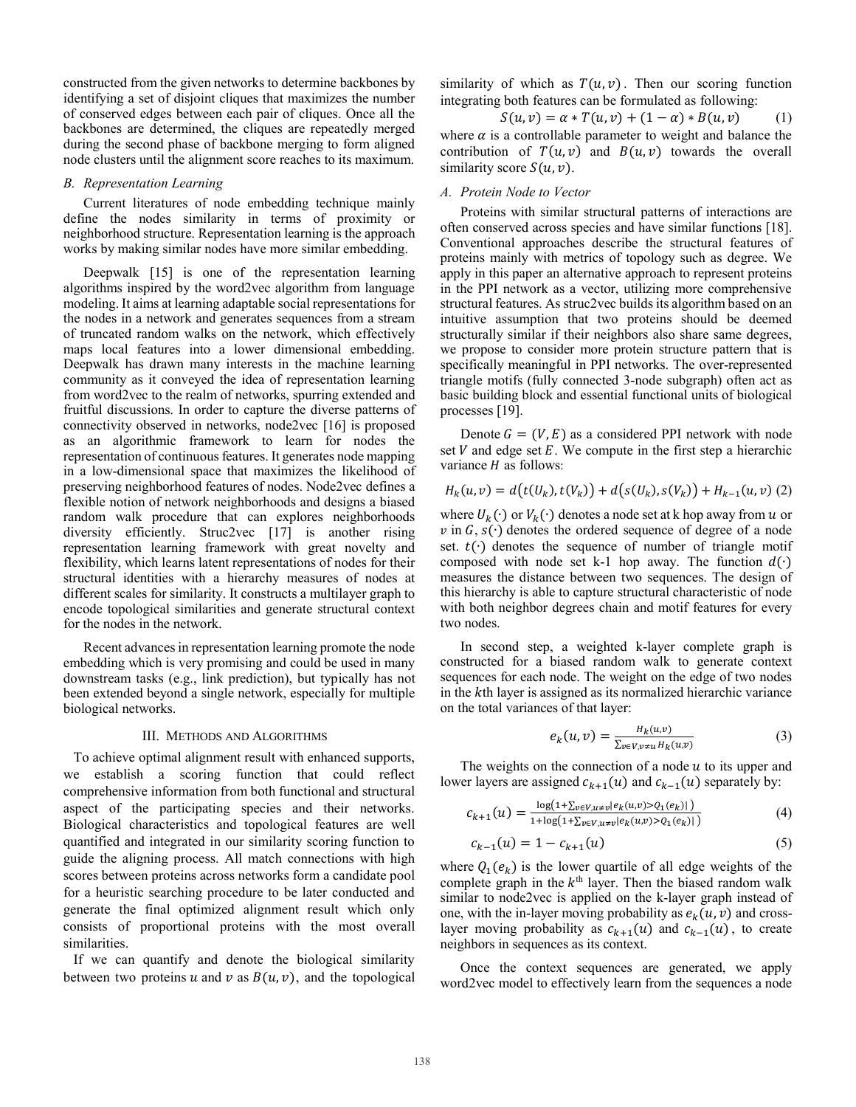constructed from the given networks to determine backbones by identifying a set of disjoint cliques that maximizes the number of conserved edges between each pair of cliques. Once all the backbones are determined, the cliques are repeatedly merged during the second phase of backbone merging to form aligned node clusters until the alignment score reaches to its maximum.

#### *B. Representation Learning*

Current literatures of node embedding technique mainly define the nodes similarity in terms of proximity or neighborhood structure. Representation learning is the approach works by making similar nodes have more similar embedding.

Deepwalk [15] is one of the representation learning algorithms inspired by the word2vec algorithm from language modeling. It aims at learning adaptable social representations for the nodes in a network and generates sequences from a stream of truncated random walks on the network, which effectively maps local features into a lower dimensional embedding. Deepwalk has drawn many interests in the machine learning community as it conveyed the idea of representation learning from word2vec to the realm of networks, spurring extended and fruitful discussions. In order to capture the diverse patterns of connectivity observed in networks, node2vec [16] is proposed as an algorithmic framework to learn for nodes the representation of continuous features. It generates node mapping in a low-dimensional space that maximizes the likelihood of preserving neighborhood features of nodes. Node2vec defines a flexible notion of network neighborhoods and designs a biased random walk procedure that can explores neighborhoods diversity efficiently. Struc2vec [17] is another rising representation learning framework with great novelty and flexibility, which learns latent representations of nodes for their structural identities with a hierarchy measures of nodes at different scales for similarity. It constructs a multilayer graph to encode topological similarities and generate structural context for the nodes in the network.

Recent advances in representation learning promote the node embedding which is very promising and could be used in many downstream tasks (e.g., link prediction), but typically has not been extended beyond a single network, especially for multiple biological networks.

# III. METHODS AND ALGORITHMS

To achieve optimal alignment result with enhanced supports, we establish a scoring function that could reflect comprehensive information from both functional and structural aspect of the participating species and their networks. Biological characteristics and topological features are well quantified and integrated in our similarity scoring function to guide the aligning process. All match connections with high scores between proteins across networks form a candidate pool for a heuristic searching procedure to be later conducted and generate the final optimized alignment result which only consists of proportional proteins with the most overall similarities.

If we can quantify and denote the biological similarity between two proteins u and v as  $B(u, v)$ , and the topological similarity of which as  $T(u, v)$ . Then our scoring function integrating both features can be formulated as following:

$$
S(u, v) = \alpha * T(u, v) + (1 - \alpha) * B(u, v)
$$
 (1)

where  $\alpha$  is a controllable parameter to weight and balance the contribution of  $T(u, v)$  and  $B(u, v)$  towards the overall similarity score  $S(u, v)$ .

# *A. Protein Node to Vector*

Proteins with similar structural patterns of interactions are often conserved across species and have similar functions [18]. Conventional approaches describe the structural features of proteins mainly with metrics of topology such as degree. We apply in this paper an alternative approach to represent proteins in the PPI network as a vector, utilizing more comprehensive structural features. As struc2vec builds its algorithm based on an intuitive assumption that two proteins should be deemed structurally similar if their neighbors also share same degrees, we propose to consider more protein structure pattern that is specifically meaningful in PPI networks. The over-represented triangle motifs (fully connected 3-node subgraph) often act as basic building block and essential functional units of biological processes [19].

Denote  $G = (V, E)$  as a considered PPI network with node set  $V$  and edge set  $E$ . We compute in the first step a hierarchic variance  $H$  as follows:

$$
H_k(u, v) = d(t(U_k), t(V_k)) + d(s(U_k), s(V_k)) + H_{k-1}(u, v)
$$
 (2)

where  $U_k(\cdot)$  or  $V_k(\cdot)$  denotes a node set at k hop away from u or  $v$  in  $G, S(·)$  denotes the ordered sequence of degree of a node set.  $t(\cdot)$  denotes the sequence of number of triangle motif composed with node set k-1 hop away. The function  $d(·)$ measures the distance between two sequences. The design of this hierarchy is able to capture structural characteristic of node with both neighbor degrees chain and motif features for every two nodes.

In second step, a weighted k-layer complete graph is constructed for a biased random walk to generate context sequences for each node. The weight on the edge of two nodes in the k<sup>th</sup> layer is assigned as its normalized hierarchic variance on the total variances of that layer:

$$
e_k(u,v) = \frac{H_k(u,v)}{\sum_{v \in V, v \neq u} H_k(u,v)}
$$
(3)

The weights on the connection of a node  $u$  to its upper and lower layers are assigned  $c_{k+1}(u)$  and  $c_{k-1}(u)$  separately by:

$$
c_{k+1}(u) = \frac{\log(1 + \sum_{v \in V, u \neq v} |e_k(u,v) > Q_1(e_k)|)}{1 + \log(1 + \sum_{v \in V, u \neq v} |e_k(u,v) > Q_1(e_k)|)}
$$
\n(4)

$$
c_{k-1}(u) = 1 - c_{k+1}(u) \tag{5}
$$

where  $Q_1(e_k)$  is the lower quartile of all edge weights of the complete graph in the  $k<sup>th</sup>$  layer. Then the biased random walk similar to node2vec is applied on the k-layer graph instead of one, with the in-layer moving probability as  $e_k(u, v)$  and crosslayer moving probability as  $c_{k+1}(u)$  and  $c_{k-1}(u)$ , to create neighbors in sequences as its context.

 Once the context sequences are generated, we apply word2vec model to effectively learn from the sequences a node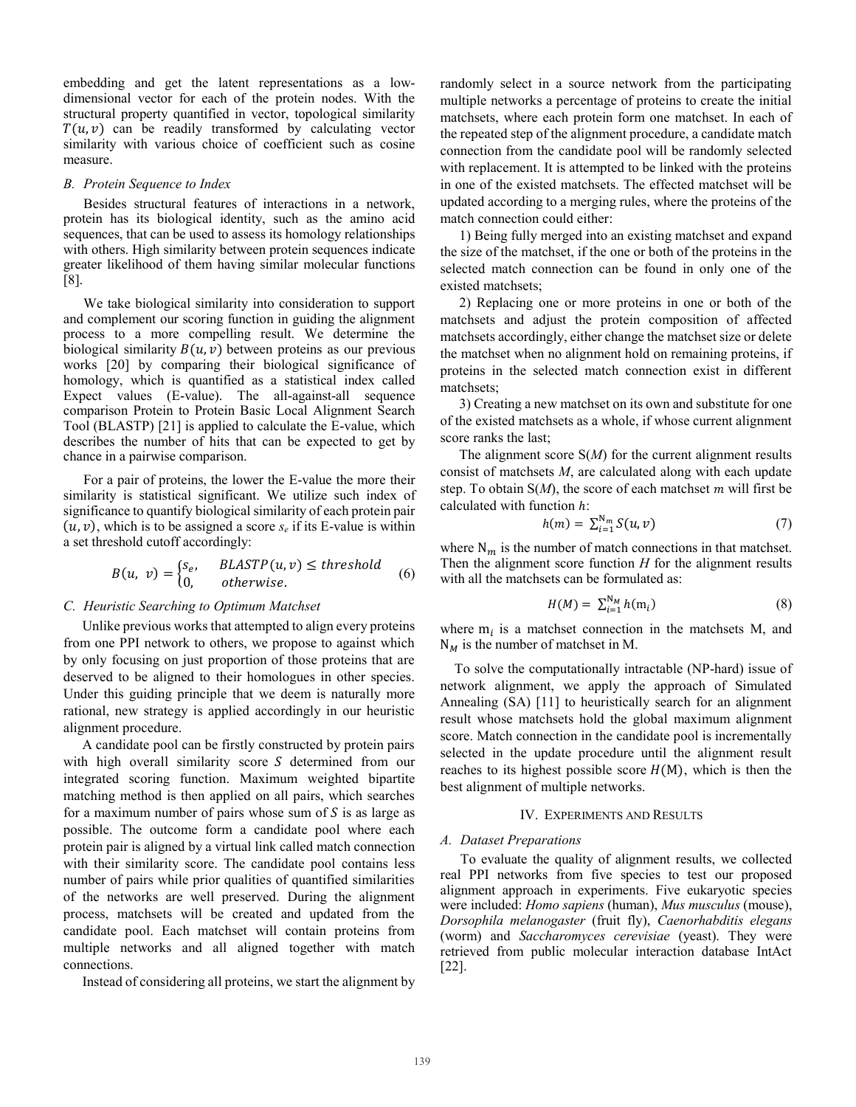embedding and get the latent representations as a lowdimensional vector for each of the protein nodes. With the structural property quantified in vector, topological similarity  $T(u, v)$  can be readily transformed by calculating vector similarity with various choice of coefficient such as cosine measure.

#### *B. Protein Sequence to Index*

Besides structural features of interactions in a network, protein has its biological identity, such as the amino acid sequences, that can be used to assess its homology relationships with others. High similarity between protein sequences indicate greater likelihood of them having similar molecular functions [8].

We take biological similarity into consideration to support and complement our scoring function in guiding the alignment process to a more compelling result. We determine the biological similarity  $B(u, v)$  between proteins as our previous works [20] by comparing their biological significance of homology, which is quantified as a statistical index called Expect values (E-value). The all-against-all sequence comparison Protein to Protein Basic Local Alignment Search Tool (BLASTP) [21] is applied to calculate the E-value, which describes the number of hits that can be expected to get by chance in a pairwise comparison.

For a pair of proteins, the lower the E-value the more their similarity is statistical significant. We utilize such index of significance to quantify biological similarity of each protein pair  $(u, v)$ , which is to be assigned a score  $s_e$  if its E-value is within a set threshold cutoff accordingly:

$$
B(u, v) = \begin{cases} s_e, & BLASTP(u, v) \le threshold \\ 0, & otherwise. \end{cases}
$$
 (6)

#### *C. Heuristic Searching to Optimum Matchset*

Unlike previous works that attempted to align every proteins from one PPI network to others, we propose to against which by only focusing on just proportion of those proteins that are deserved to be aligned to their homologues in other species. Under this guiding principle that we deem is naturally more rational, new strategy is applied accordingly in our heuristic alignment procedure.

A candidate pool can be firstly constructed by protein pairs with high overall similarity score  $S$  determined from our integrated scoring function. Maximum weighted bipartite matching method is then applied on all pairs, which searches for a maximum number of pairs whose sum of  $S$  is as large as possible. The outcome form a candidate pool where each protein pair is aligned by a virtual link called match connection with their similarity score. The candidate pool contains less number of pairs while prior qualities of quantified similarities of the networks are well preserved. During the alignment process, matchsets will be created and updated from the candidate pool. Each matchset will contain proteins from multiple networks and all aligned together with match connections.

Instead of considering all proteins, we start the alignment by

randomly select in a source network from the participating multiple networks a percentage of proteins to create the initial matchsets, where each protein form one matchset. In each of the repeated step of the alignment procedure, a candidate match connection from the candidate pool will be randomly selected with replacement. It is attempted to be linked with the proteins in one of the existed matchsets. The effected matchset will be updated according to a merging rules, where the proteins of the match connection could either:

1) Being fully merged into an existing matchset and expand the size of the matchset, if the one or both of the proteins in the selected match connection can be found in only one of the existed matchsets;

2) Replacing one or more proteins in one or both of the matchsets and adjust the protein composition of affected matchsets accordingly, either change the matchset size or delete the matchset when no alignment hold on remaining proteins, if proteins in the selected match connection exist in different matchsets;

3) Creating a new matchset on its own and substitute for one of the existed matchsets as a whole, if whose current alignment score ranks the last;

The alignment score S(*M*) for the current alignment results consist of matchsets *M*, are calculated along with each update step. To obtain  $S(M)$ , the score of each matchset  $m$  will first be calculated with function  $h$ :

$$
h(m) = \sum_{i=1}^{N_m} S(u, v) \tag{7}
$$

where  $N_m$  is the number of match connections in that matchset. Then the alignment score function *H* for the alignment results with all the matchsets can be formulated as:

$$
H(M) = \sum_{i=1}^{N_M} h(m_i) \tag{8}
$$

where  $m_i$  is a matchset connection in the matchsets M, and  $N_M$  is the number of matchset in M.

To solve the computationally intractable (NP-hard) issue of network alignment, we apply the approach of Simulated Annealing (SA) [11] to heuristically search for an alignment result whose matchsets hold the global maximum alignment score. Match connection in the candidate pool is incrementally selected in the update procedure until the alignment result reaches to its highest possible score  $H(M)$ , which is then the best alignment of multiple networks.

# IV. EXPERIMENTS AND RESULTS

#### *A. Dataset Preparations*

To evaluate the quality of alignment results, we collected real PPI networks from five species to test our proposed alignment approach in experiments. Five eukaryotic species were included: *Homo sapiens* (human), *Mus musculus* (mouse), *Dorsophila melanogaster* (fruit fly), *Caenorhabditis elegans* (worm) and *Saccharomyces cerevisiae* (yeast). They were retrieved from public molecular interaction database IntAct [22].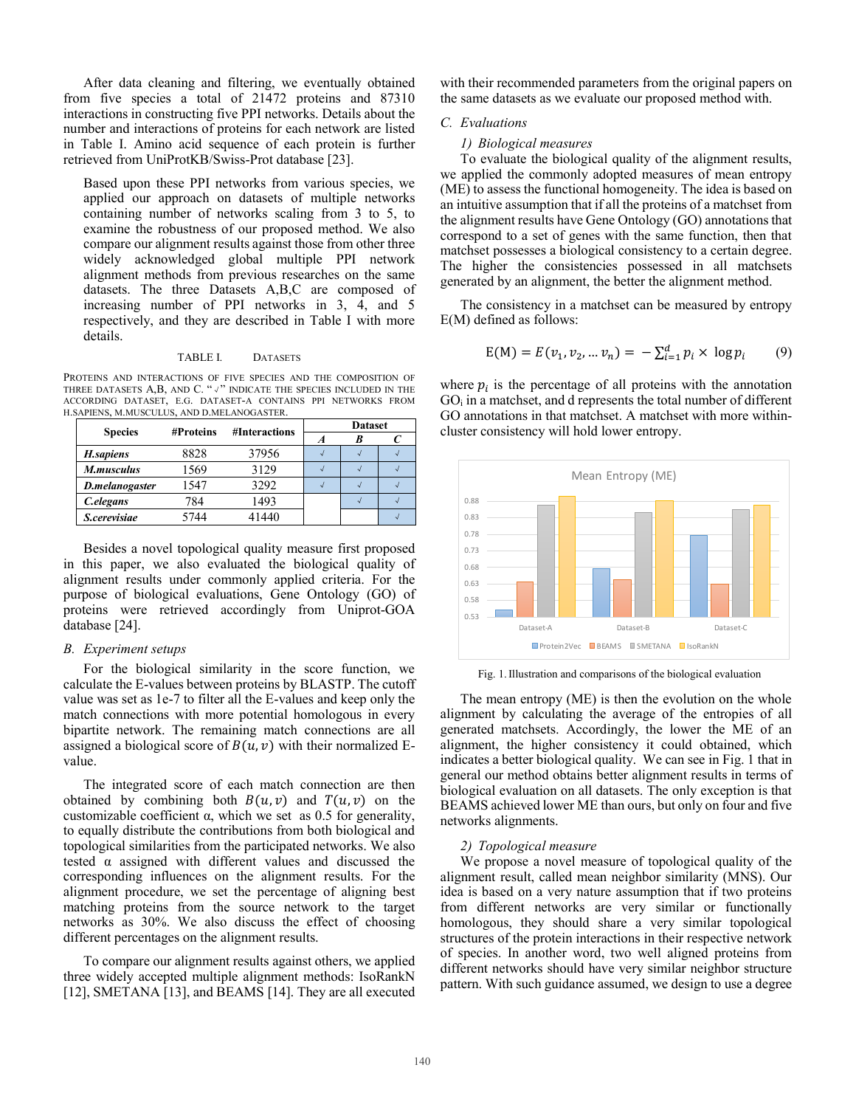After data cleaning and filtering, we eventually obtained from five species a total of 21472 proteins and 87310 interactions in constructing five PPI networks. Details about the number and interactions of proteins for each network are listed in Table I. Amino acid sequence of each protein is further retrieved from UniProtKB/Swiss-Prot database [23].

Based upon these PPI networks from various species, we applied our approach on datasets of multiple networks containing number of networks scaling from 3 to 5, to examine the robustness of our proposed method. We also compare our alignment results against those from other three widely acknowledged global multiple PPI network alignment methods from previous researches on the same datasets. The three Datasets A,B,C are composed of increasing number of PPI networks in 3, 4, and 5 respectively, and they are described in Table I with more details.

#### TABLE I. DATASETS

PROTEINS AND INTERACTIONS OF FIVE SPECIES AND THE COMPOSITION OF THREE DATASETS A,B, AND C. "√" INDICATE THE SPECIES INCLUDED IN THE ACCORDING DATASET, E.G. DATASET-A CONTAINS PPI NETWORKS FROM H.SAPIENS, M.MUSCULUS, AND D.MELANOGASTER.

| <b>Species</b>   | #Proteins | #Interactions | <b>Dataset</b> |  |  |
|------------------|-----------|---------------|----------------|--|--|
|                  |           |               |                |  |  |
| <b>H.sapiens</b> | 8828      | 37956         |                |  |  |
| M.musculus       | 1569      | 3129          |                |  |  |
| D.melanogaster   | 1547      | 3292          |                |  |  |
| C.elegans        | 784       | 1493          |                |  |  |
| S.cerevisiae     | 5744      | 41440         |                |  |  |

Besides a novel topological quality measure first proposed in this paper, we also evaluated the biological quality of alignment results under commonly applied criteria. For the purpose of biological evaluations, Gene Ontology (GO) of proteins were retrieved accordingly from Uniprot-GOA database [24].

#### *B. Experiment setups*

For the biological similarity in the score function, we calculate the E-values between proteins by BLASTP. The cutoff value was set as 1e-7 to filter all the E-values and keep only the match connections with more potential homologous in every bipartite network. The remaining match connections are all assigned a biological score of  $B(u, v)$  with their normalized Evalue.

The integrated score of each match connection are then obtained by combining both  $B(u, v)$  and  $T(u, v)$  on the customizable coefficient α, which we set as 0.5 for generality, to equally distribute the contributions from both biological and topological similarities from the participated networks. We also tested α assigned with different values and discussed the corresponding influences on the alignment results. For the alignment procedure, we set the percentage of aligning best matching proteins from the source network to the target networks as 30%. We also discuss the effect of choosing different percentages on the alignment results.

To compare our alignment results against others, we applied three widely accepted multiple alignment methods: IsoRankN [12], SMETANA [13], and BEAMS [14]. They are all executed with their recommended parameters from the original papers on the same datasets as we evaluate our proposed method with.

#### *C. Evaluations*

#### *1) Biological measures*

To evaluate the biological quality of the alignment results, we applied the commonly adopted measures of mean entropy (ME) to assess the functional homogeneity. The idea is based on an intuitive assumption that if all the proteins of a matchset from the alignment results have Gene Ontology (GO) annotations that correspond to a set of genes with the same function, then that matchset possesses a biological consistency to a certain degree. The higher the consistencies possessed in all matchsets generated by an alignment, the better the alignment method.

The consistency in a matchset can be measured by entropy E(M) defined as follows:

$$
E(M) = E(v_1, v_2, ... v_n) = -\sum_{i=1}^{d} p_i \times \log p_i \qquad (9)
$$

where  $p_i$  is the percentage of all proteins with the annotation  $GO<sub>i</sub>$  in a matchset, and d represents the total number of different GO annotations in that matchset. A matchset with more withincluster consistency will hold lower entropy.



Fig. 1.Illustration and comparisons of the biological evaluation

The mean entropy (ME) is then the evolution on the whole alignment by calculating the average of the entropies of all generated matchsets. Accordingly, the lower the ME of an alignment, the higher consistency it could obtained, which indicates a better biological quality. We can see in Fig. 1 that in general our method obtains better alignment results in terms of biological evaluation on all datasets. The only exception is that BEAMS achieved lower ME than ours, but only on four and five networks alignments.

# *2) Topological measure*

We propose a novel measure of topological quality of the alignment result, called mean neighbor similarity (MNS). Our idea is based on a very nature assumption that if two proteins from different networks are very similar or functionally homologous, they should share a very similar topological structures of the protein interactions in their respective network of species. In another word, two well aligned proteins from different networks should have very similar neighbor structure pattern. With such guidance assumed, we design to use a degree